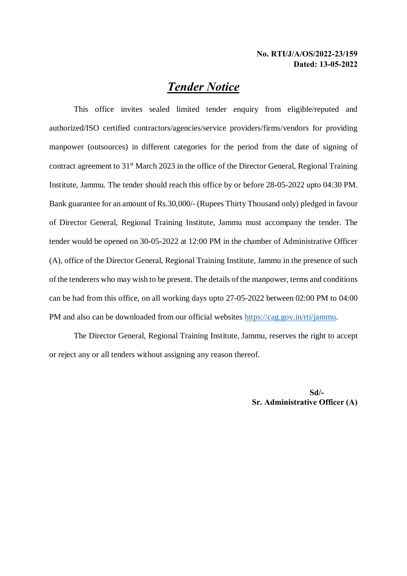## *Tender Notice*

This office invites sealed limited tender enquiry from eligible/reputed and authorized/ISO certified contractors/agencies/service providers/firms/vendors for providing manpower (outsources) in different categories for the period from the date of signing of contract agreement to 31<sup>st</sup> March 2023 in the office of the Director General, Regional Training Institute, Jammu. The tender should reach this office by or before 28-05-2022 upto 04:30 PM. Bank guarantee for an amount of Rs.30,000/- (Rupees Thirty Thousand only) pledged in favour of Director General, Regional Training Institute, Jammu must accompany the tender. The tender would be opened on 30-05-2022 at 12:00 PM in the chamber of Administrative Officer (A), office of the Director General, Regional Training Institute, Jammu in the presence of such of the tenderers who may wish to be present. The details of the manpower, terms and conditions can be had from this office, on all working days upto 27-05-2022 between 02:00 PM to 04:00 PM and also can be downloaded from our official websites https://cag.gov.in/rti/jammu.

The Director General, Regional Training Institute, Jammu, reserves the right to accept or reject any or all tenders without assigning any reason thereof.

> **Sd/- Sr. Administrative Officer (A)**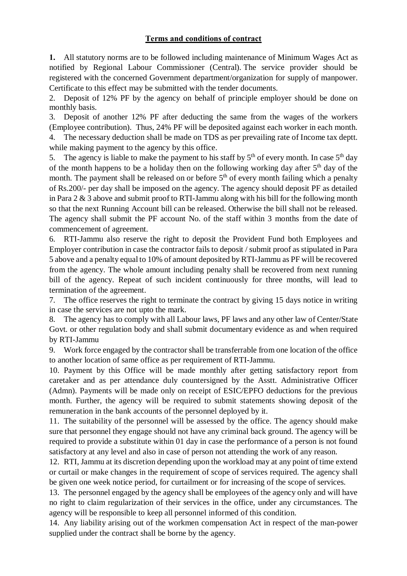### **Terms and conditions of contract**

**1.** All statutory norms are to be followed including maintenance of Minimum Wages Act as notified by Regional Labour Commissioner (Central). The service provider should be registered with the concerned Government department/organization for supply of manpower. Certificate to this effect may be submitted with the tender documents.

2. Deposit of 12% PF by the agency on behalf of principle employer should be done on monthly basis.

3. Deposit of another 12% PF after deducting the same from the wages of the workers (Employee contribution). Thus, 24% PF will be deposited against each worker in each month. 4. The necessary deduction shall be made on TDS as per prevailing rate of Income tax deptt. while making payment to the agency by this office.

5. The agency is liable to make the payment to his staff by  $5<sup>th</sup>$  of every month. In case  $5<sup>th</sup>$  day of the month happens to be a holiday then on the following working day after  $5<sup>th</sup>$  day of the month. The payment shall be released on or before  $5<sup>th</sup>$  of every month failing which a penalty of Rs.200/- per day shall be imposed on the agency. The agency should deposit PF as detailed in Para 2 & 3 above and submit proof to RTI-Jammu along with his bill for the following month so that the next Running Account bill can be released. Otherwise the bill shall not be released. The agency shall submit the PF account No. of the staff within 3 months from the date of commencement of agreement.

6. RTI-Jammu also reserve the right to deposit the Provident Fund both Employees and Employer contribution in case the contractor fails to deposit / submit proof as stipulated in Para 5 above and a penalty equal to 10% of amount deposited by RTI-Jammu as PF will be recovered from the agency. The whole amount including penalty shall be recovered from next running bill of the agency. Repeat of such incident continuously for three months, will lead to termination of the agreement.

7. The office reserves the right to terminate the contract by giving 15 days notice in writing in case the services are not upto the mark.

8. The agency has to comply with all Labour laws, PF laws and any other law of Center/State Govt. or other regulation body and shall submit documentary evidence as and when required by RTI-Jammu

9. Work force engaged by the contractor shall be transferrable from one location of the office to another location of same office as per requirement of RTI-Jammu.

10. Payment by this Office will be made monthly after getting satisfactory report from caretaker and as per attendance duly countersigned by the Asstt. Administrative Officer (Admn). Payments will be made only on receipt of ESIC/EPFO deductions for the previous month. Further, the agency will be required to submit statements showing deposit of the remuneration in the bank accounts of the personnel deployed by it.

11. The suitability of the personnel will be assessed by the office. The agency should make sure that personnel they engage should not have any criminal back ground. The agency will be required to provide a substitute within 01 day in case the performance of a person is not found satisfactory at any level and also in case of person not attending the work of any reason.

12. RTI, Jammu at its discretion depending upon the workload may at any point of time extend or curtail or make changes in the requirement of scope of services required. The agency shall be given one week notice period, for curtailment or for increasing of the scope of services.

13. The personnel engaged by the agency shall be employees of the agency only and will have no right to claim regularization of their services in the office, under any circumstances. The agency will be responsible to keep all personnel informed of this condition.

14. Any liability arising out of the workmen compensation Act in respect of the man-power supplied under the contract shall be borne by the agency.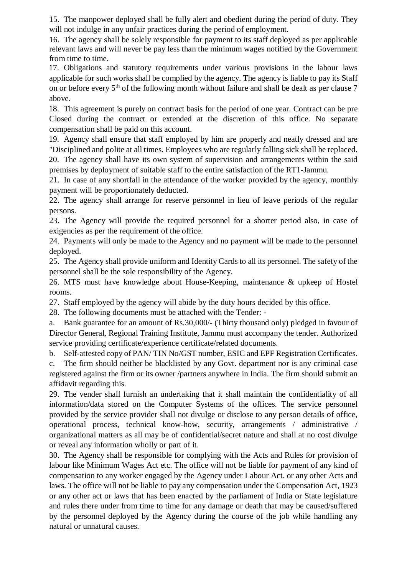15. The manpower deployed shall be fully alert and obedient during the period of duty. They will not indulge in any unfair practices during the period of employment.

16. The agency shall be solely responsible for payment to its staff deployed as per applicable relevant laws and will never be pay less than the minimum wages notified by the Government from time to time.

17. Obligations and statutory requirements under various provisions in the labour laws applicable for such works shall be complied by the agency. The agency is liable to pay its Staff on or before every 5<sup>th</sup> of the following month without failure and shall be dealt as per clause 7 above.

18. This agreement is purely on contract basis for the period of one year. Contract can be pre Closed during the contract or extended at the discretion of this office. No separate compensation shall be paid on this account.

19. Agency shall ensure that staff employed by him are properly and neatly dressed and are "Disciplined and polite at all times. Employees who are regularly falling sick shall be replaced.

20. The agency shall have its own system of supervision and arrangements within the said premises by deployment of suitable staff to the entire satisfaction of the RT1-Jammu.

21. In case of any shortfall in the attendance of the worker provided by the agency, monthly payment will be proportionately deducted.

22. The agency shall arrange for reserve personnel in lieu of leave periods of the regular persons.

23. The Agency will provide the required personnel for a shorter period also, in case of exigencies as per the requirement of the office.

24. Payments will only be made to the Agency and no payment will be made to the personnel deployed.

25. The Agency shall provide uniform and Identity Cards to all its personnel. The safety of the personnel shall be the sole responsibility of the Agency.

26. MTS must have knowledge about House-Keeping, maintenance & upkeep of Hostel rooms.

27. Staff employed by the agency will abide by the duty hours decided by this office.

28. The following documents must be attached with the Tender: -

a. Bank guarantee for an amount of Rs.30,000/- (Thirty thousand only) pledged in favour of Director General, Regional Training Institute, Jammu must accompany the tender. Authorized service providing certificate/experience certificate/related documents.

b. Self-attested copy of PAN/ TIN No/GST number, ESIC and EPF Registration Certificates. c. The firm should neither be blacklisted by any Govt. department nor is any criminal case registered against the firm or its owner /partners anywhere in India. The firm should submit an

affidavit regarding this.

29. The vender shall furnish an undertaking that it shall maintain the confidentiality of all information/data stored on the Computer Systems of the offices. The service personnel provided by the service provider shall not divulge or disclose to any person details of office, operational process, technical know-how, security, arrangements / administrative / organizational matters as all may be of confidential/secret nature and shall at no cost divulge or reveal any information wholly or part of it.

30. The Agency shall be responsible for complying with the Acts and Rules for provision of labour like Minimum Wages Act etc. The office will not be liable for payment of any kind of compensation to any worker engaged by the Agency under Labour Act. or any other Acts and laws. The office will not be liable to pay any compensation under the Compensation Act, 1923 or any other act or laws that has been enacted by the parliament of India or State legislature and rules there under from time to time for any damage or death that may be caused/suffered by the personnel deployed by the Agency during the course of the job while handling any natural or unnatural causes.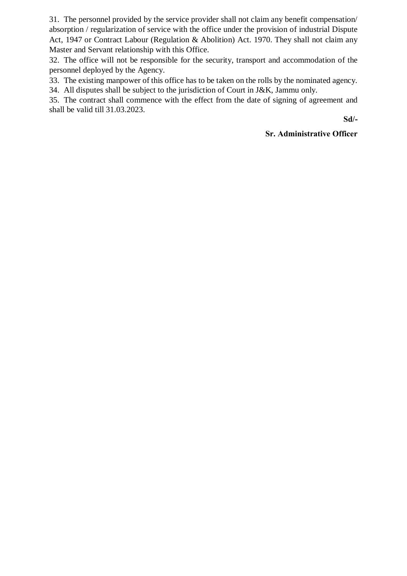31. The personnel provided by the service provider shall not claim any benefit compensation/ absorption / regularization of service with the office under the provision of industrial Dispute Act, 1947 or Contract Labour (Regulation & Abolition) Act. 1970. They shall not claim any Master and Servant relationship with this Office.

32. The office will not be responsible for the security, transport and accommodation of the personnel deployed by the Agency.

33. The existing manpower of this office has to be taken on the rolls by the nominated agency.

34. All disputes shall be subject to the jurisdiction of Court in J&K, Jammu only.

35. The contract shall commence with the effect from the date of signing of agreement and shall be valid till 31.03.2023.

**Sd/-**

#### **Sr. Administrative Officer**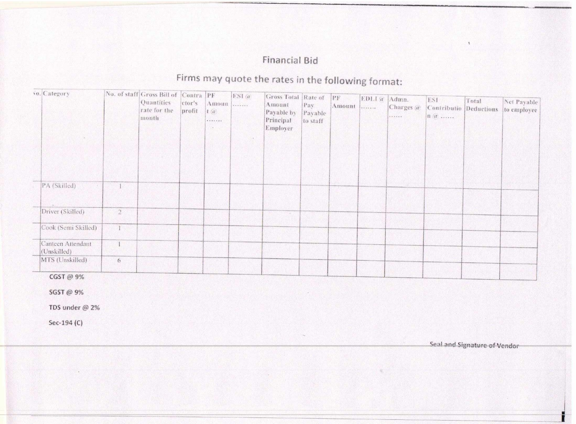### **Financial Bid**

# Firms may quote the rates in the following format:

| vo. Category                |              | No. of staff Gross Bill of Contra PF<br>Quantities<br>rate for the<br>month | ctor's<br>profit | Amoun<br>$t$ $\alpha$<br>. | $ESI$ $\alpha$<br>.<br>7.4. | Gross Total Rate of<br>Amount<br>Payable by<br>Principal<br>Employer | Pay<br>Payable<br>to staff | PF <br>Amount | EDL1a<br>. | Admn.<br>Charges @<br> | ESI<br>Contributio Deductions<br>$\left  \mathbf{n} \right\rangle$ $\left  \mathbf{n} \right\rangle$ $\left  \mathbf{n} \right\rangle$ | Total | Net Payable<br>to employee |
|-----------------------------|--------------|-----------------------------------------------------------------------------|------------------|----------------------------|-----------------------------|----------------------------------------------------------------------|----------------------------|---------------|------------|------------------------|----------------------------------------------------------------------------------------------------------------------------------------|-------|----------------------------|
| PA (Skilled)<br>$\sim$      |              |                                                                             |                  |                            |                             |                                                                      |                            |               |            |                        |                                                                                                                                        |       |                            |
|                             |              |                                                                             |                  |                            |                             |                                                                      |                            |               |            |                        |                                                                                                                                        |       |                            |
| Driver (Skilled)            | $2\,$        |                                                                             |                  |                            |                             |                                                                      |                            |               |            |                        |                                                                                                                                        |       |                            |
| Cook (Semi Skilled)         | $\mathbf{1}$ |                                                                             |                  |                            |                             |                                                                      |                            |               |            |                        |                                                                                                                                        |       |                            |
| Canteen Attendant           |              |                                                                             |                  |                            |                             |                                                                      |                            |               |            |                        |                                                                                                                                        |       |                            |
| (Unskilled)                 |              |                                                                             |                  |                            |                             |                                                                      |                            |               |            |                        |                                                                                                                                        |       |                            |
| MTS (Unskilled)             | 6            |                                                                             |                  |                            |                             |                                                                      |                            |               |            |                        |                                                                                                                                        |       |                            |
| CGST @ 9%                   |              |                                                                             |                  |                            |                             |                                                                      |                            |               |            |                        |                                                                                                                                        |       |                            |
| SGST @ 9%<br>TDS under @ 2% |              |                                                                             |                  |                            |                             |                                                                      |                            |               |            |                        |                                                                                                                                        |       |                            |
| Sec-194 (C)                 |              |                                                                             |                  |                            |                             |                                                                      |                            |               |            |                        |                                                                                                                                        |       |                            |

Seal and Signature of Vendor